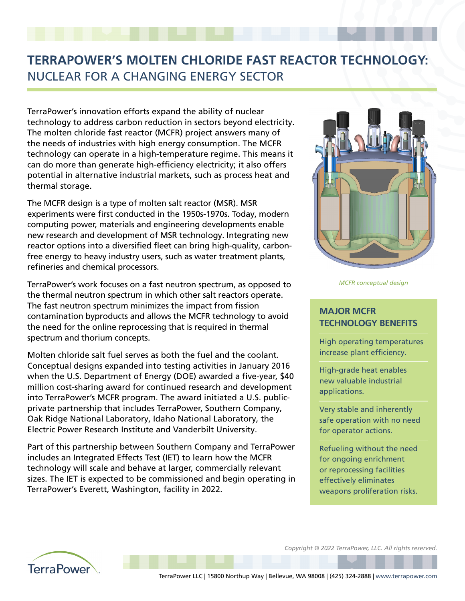## **TERRAPOWER'S MOLTEN CHLORIDE FAST REACTOR TECHNOLOGY:** NUCLEAR FOR A CHANGING ENERGY SECTOR

TerraPower's innovation efforts expand the ability of nuclear technology to address carbon reduction in sectors beyond electricity. The molten chloride fast reactor (MCFR) project answers many of the needs of industries with high energy consumption. The MCFR technology can operate in a high-temperature regime. This means it can do more than generate high-efficiency electricity; it also offers potential in alternative industrial markets, such as process heat and thermal storage.

The MCFR design is a type of molten salt reactor (MSR). MSR experiments were first conducted in the 1950s-1970s. Today, modern computing power, materials and engineering developments enable new research and development of MSR technology. Integrating new reactor options into a diversified fleet can bring high-quality, carbonfree energy to heavy industry users, such as water treatment plants, refineries and chemical processors.

TerraPower's work focuses on a fast neutron spectrum, as opposed to the thermal neutron spectrum in which other salt reactors operate. The fast neutron spectrum minimizes the impact from fission contamination byproducts and allows the MCFR technology to avoid the need for the online reprocessing that is required in thermal spectrum and thorium concepts.

Molten chloride salt fuel serves as both the fuel and the coolant. Conceptual designs expanded into testing activities in January 2016 when the U.S. Department of Energy (DOE) awarded a five-year, \$40 million cost-sharing award for continued research and development into TerraPower's MCFR program. The award initiated a U.S. publicprivate partnership that includes TerraPower, Southern Company, Oak Ridge National Laboratory, Idaho National Laboratory, the Electric Power Research Institute and Vanderbilt University.

Part of this partnership between Southern Company and TerraPower includes an Integrated Effects Test (IET) to learn how the MCFR technology will scale and behave at larger, commercially relevant sizes. The IET is expected to be commissioned and begin operating in TerraPower's Everett, Washington, facility in 2022.



*MCFR conceptual design*

## **MAJOR MCFR TECHNOLOGY BENEFITS**

High operating temperatures increase plant efficiency.

High-grade heat enables new valuable industrial applications.

Very stable and inherently safe operation with no need for operator actions.

Refueling without the need for ongoing enrichment or reprocessing facilities effectively eliminates weapons proliferation risks.



*Copyright © 2022 TerraPower, LLC. All rights reserved.*

TerraPower LLC | 15800 Northup Way | Bellevue, WA 98008 | (425) 324-2888 | www.terrapower.com